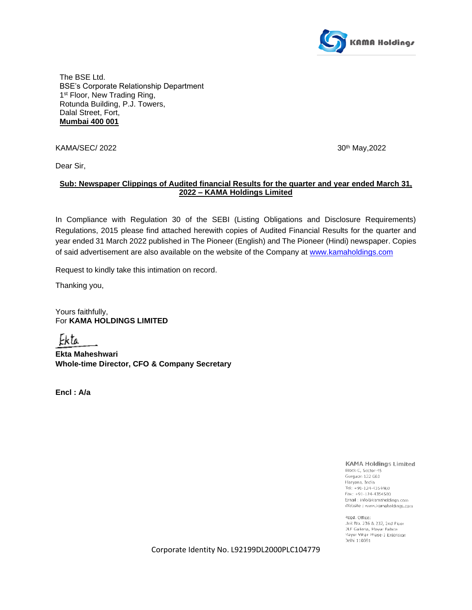

The BSE Ltd. BSE's Corporate Relationship Department 1<sup>st</sup> Floor, New Trading Ring, Rotunda Building, P.J. Towers, Dalal Street, Fort, **Mumbai 400 001**

KAMA/SEC/ 2022 30<sup>th</sup> May, 2022

Dear Sir,

## **Sub: Newspaper Clippings of Audited financial Results for the quarter and year ended March 31, 2022 – KAMA Holdings Limited**

In Compliance with Regulation 30 of the SEBI (Listing Obligations and Disclosure Requirements) Regulations, 2015 please find attached herewith copies of Audited Financial Results for the quarter and year ended 31 March 2022 published in The Pioneer (English) and The Pioneer (Hindi) newspaper. Copies of said advertisement are also available on the website of the Company at [www.kamaholdings.com](http://www.kamaholdings.com/) 

Request to kindly take this intimation on record.

Thanking you,

Yours faithfully, For **KAMA HOLDINGS LIMITED**

Ekta

**Ekta Maheshwari Whole-time Director, CFO & Company Secretary**

**Encl : A/a**

**KAMA Holdings Limited** 

Block-C, Sector-45 Gurgaon 122 003 Haryana, India Tel: +91-124-4354400 Fax: +91-124-4354500 Email: info@kamaholdings.com Website : www.kamaholdings.com

Read, Office: Jnit No. 236 & 237, 2nd Floor DLF Galleria, Mayur Palace viayur Vihar Phase-1 Extension Deihi 110091

Corporate Identity No. L92199DL2000PLC104779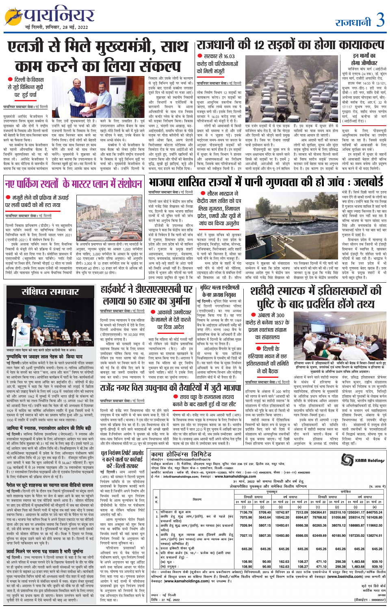# राजधानी 3



 $\bullet$  दिल्ली के विकास

से जुड़े विभिन्न मुद्दो

पर हुई चर्चा

पायनियर समाचार सेवा। नई दिल्ली

मुख्यमंत्री अरविंद केजरीवाल ने

उपराज्यपाल विनय कुमार सक्सेना से

मुलाकात की और दोनों ने राष्ट्रीय

राजधानी के विकास और दिल्ली वालों

की बेहतरी के लिए साथ मिलकर काम

यह सक्सेना के साथ केजरीवाल

● मंजूरी लेने की प्रक्रिया में ऊंचाई

पायनियर समाचार सेवा। नई दिल्ली

(एमपीडी-2021) में संशोधन किया है।

करने का फैसला किया।

## राजधानी की 12 सड़कों का होगा कायाकल्प

## इन मार्गों का होगा जीर्णोधार

मार्जिनल बांध मार्ग (आईटीओ चुंगी से एनएच-24 तक), डॉ. कुंदन लाल मार्ग, राजौरी अपार्टमेंट रोड,

हाउस नंबर 14/35 से 13/101, सुभाष नगर-डीए-1 हरी नगर से डीबी-1 हरी नगर, शांति देवी मार्ग, अयोध्या प्रसाद चोपडका मार्ग. बीए-बीबी ब्लॉक रोड, आर.नं. 32 से 17/117 सुभाष नगर, प्रेम नगर गुरुद्वारा रोड, शहीद मंगल पाण्डेय मार्ग, भाई कन्हैया जी मार्ग (आईटीआई रोड)।

सुधार के लिए पीडब्ल्यूडी आधुनिकतम तकनीक का उपयोग किया जा रहा है। जिससे सड़कें यात्रियों की आवाजाही के लिए अधिक सुरक्षित बन सकें।

इन सड़कों में सुधार से वाहनों की आवाजाही बेहतर होगी बल्कि लोगों का समय बचेगा और प्रदूषण कम करने में भी मदद मिलेगी।



आम आदमी पार्टी की सरकार

एक दर्जन सड़कों में से एक सड़क हैं। इस सड़क में सुधार होने से मार्जिनल बांध रोड है, जो कि नोएडा यात्रियों का यात्रा समय कम होगा और दिल्ली को जोड़ने वाली प्रमुख और यात्रा आसान हो जाएगी। सड़क है। जिस पर रोजाना लाखों यात्री इस्तेमाल करते है। लोगों को सुरक्षित, सुगम और सुंदर

पीडब्ल्यूडी का मुख्य रूप से सड़क मुहैया कराने के लिए प्रतिबद्ध ध्यान अक्षरधाम मंदिर के सामने वाले है। सरकार की योजना दिल्ली वालों हिस्से की सड़कों पर है। इसमें 2 को विश्व स्तरीय सडकें उपलब्ध आरओबी, आरओबी को जोड़ने कराकर उन्हें बेहतर यात्रा का अनुभव वाली सड़कें और तीन यू-टर्न शामिल देना है। इस कारण इन सड़कों के

 $\bullet$  सरकार से 16.03 करोड़ की परियोजनाओं को मिली मंजूरी

पायनियर समाचार सेवा। नई दिल्ली

भवन 2, चंदागी राम अखाड़ा, मठ-आईएसबीटी, समाधि परिसर के पीछे सड़क पर गीता कॉलोनी को जोड़ने वाले ओवर ब्रिज, अरुण जेटली फिरोजशाह कोटला स्टेडियम और सिकंदरा रोड के पास आईटीओ की ओर मुड़ते हुए, उन्होंने खामियों को उजागर किया और पौधों की बेतरतीब वृद्धि, सूखी हुई झाड़ियां, कूड़े और कचरा, गाद हटाने का निर्देश दिया। सरकार की स्वीकृत मिली है। इन

लोक निर्माण विभाग 12 सड़कों का कायाकल्प करेगा। इन सड़कों का सुधार आधुनिक तकनीक किया जाएगा, ताकि लम्बे समय तक ये मजबूत बनी रहें। इसके लिए दिल्ली सरकार ने 16.03 करोड रुपए की परियोजनाओं को मंजूरी दे दी है।

को सड़का निरीक्षण किया। विकास लोगों को आवाजाही में किसी प्रकार की समस्या न हो और उन्हें जाम से न जूझना पड़े। इसके मद्देनजर समय-समय पर जरुरत के अनुसार पीडब्ल्यूडी सड़कों की मरम्मत का कार्य होता है। इन सड़कों में सुधार के लिए विभाग ने हालात और आवश्यकताओं का निरीक्षण किया, जिसके बाद परियोजनाओं को



और कहा कि उन्होंने राष्ट्रीय राजधानी

उपराज्यपाल अनिल बैजल के साथ खट्टे-मीठे रिश्तों के बारे में पूछे जाने पर सीएम ने कहा, उनके बैजल के साथ अच्छे संबंध थे। सक्सेना ने भी केजरीवाल के

एलजी से मिले मुख्यमंत्री, साथ

चलेंगे। मुख्यमंत्री ने शुक्रवार को ्ट्वीट कर बताया कि उपराज्यपाल से के विकास से जुड़े विभिन्न मुद्दों पर

नए पार्किंग स्थलों के मास्टर प्लान में संशोधन

के लिए उन्हें शुभकामनाएं देते है। करने के लिए उत्साहित है। पूर्व उन्होंने कई मुद्दों पर चर्चा की और राजधानी दिल्ली के विकास के लिए एक साथ मिलकर काम करने का निर्णय लिया। दोनों लोगों की बेहतरी के लिए एक साथ मिलकर हर काम करेंगे और सभी को साथ लेकर साथ बैठक को लेकर ट्वीट किया

की पहली औपचारिक बैठक है, जिन्होंने बृहस्पतिवार को पद की शपथ ली। अरविंद केजरीवाल ने बैठक के बाद मीडिया से बातचीत में मिलकर खुशी हुई सर। वह दिल्ली के चर्चा की। मुख्यमंत्री केजरीवाल से बताया कि वह एक सार्थक कार्यकाल कल्याण के लिए आपके साथ काम मुलाकात की। उन्होंने दिल्ली के

भाजपा शासित राज्यों में पानी गुणवत्ता की हो जांच: जलबोर्ड

दिल्ली जल बोर्ड ने केंद्रीय जल शक्ति मंत्री गजेंद्र सिंह शेखावत को लिखा पत्र, दिल्ली के साथ भाजपा शासित

अधिकारियों के साथ राज निवास

और कनॉट प्लेस के बीच के हिस्से

राज्यों में भी दूषित पानी की जांच कराने का अनुरोध किया है।

भारद्वाज ने कहा कि केंद्रीय जल शक्ति मंत्री से निवेदन है कि पानी की जांच में गुजरात, हिमाचल प्रदेश, मध्य प्रदेश और उत्तर प्रदेश को भी शामिल करें। गुजरात के प्रमुख शहरों अहमदाबाद, पालनपुर, मेहसाणा, पाटन, बनासकांठा, साबरकांठा सहित अन्य बड़े-बड़े शहरों के अंदर पानी को स्थिति अच्छी नहीं है। हिमाचल प्रदेश में भूजल और नदियों का पानी इतना ज्यादा प्रदूषित हो चुका है कि

### <u>पायनियर समाचार सेवा। नई दिल्ली</u>  $\bullet$  सौरभ भारद्वाज ने केंद्रीय जल शक्ति को पत्र

आल

डीजेबी के उपाध्यक्ष सौरभ पानी

लिख गुजरात, हिमाचल प्रदेश, एमपी और यूपी में जांच का किया अनुरोध कोर्ट ने मुख्य सचिव को बुलाकर

की शिकायत आ रही है। सौरभ

मंत्री हैं। सिर्फ दिल्ली वालों पर इतन ध्यान देंगे तो बाकी राज्यों के लोगों का क्या होगा। उन्होंने कहा कि पत्र लिखा है गुजरात भाजपा शासित है जहां पानी को बहुत ज्यादा किल्लत है। यह बात कोई विपक्षी दल नहीं कह रहा है बल्कि भाजपा के पाटन सांसद भरत सिंह और बनासकांठा से सांसद परबतभाई पटेल ने यह बात कई बार गुजरात में उठाई है।

हिमाचल प्रदेश में नालागढ़ से लेकर सोलन तक जितनी भी इंडस्ट्री हिमाचल में स्थापित है, खासकर फॉर्मा इंडस्ट्री गैर शोधित पानी को नदियों में बहा रही है। भारद्वाज ने कहा कि उत्तर प्रदेश में भी पानी गुणवत्ता बेहद खराब हैं। उत्तर प्रदेश के प्रमुख शहरों में भी

पानी बहुत दूषित है।



भारद्वाज ने शुक्रवार को संवाददाता पत्र लिखकर दिल्ली में गंदे पानी की जांच कराने की मांग की थी। उन्हें यह



 $\bullet$  अंबाला में 300 करोड़ से बनेगा 1857 के प्रथम स्वतंत्रता संग्राम का संग्रहालय

 $\bullet$  दिल्ली के हरियाणा भवन में छह इतिहासकारों की समिति ੜੇ ਨੀ ਹੈਟਰ



हरियाणा भवन में इतिहासकारों की समिति की बैठक में विचार-विमर्श करते हुए हरियाणा के सूचना, जनसंपर्क एवं भाषा विभाग के महानिदेशक व हरियाणा वं





का जुर्माना लगाया है।



100 एफएआर (फ्लोर एरिया अनुपात) की अनुमति होगी। 3,000 से 10 हजार वर्गमीटर तक के भूखंड पर एफएआर 60 होगा। 10 हजार वर्ग मीटर से अधिक को











नेहरू को याद करते प्रदेश कांग्रेसी नेता व अन्य पुण्यतिथि पर जवाहर लाल नेहरू को किया याद

नई दिल्ली। प्रदेश कांग्रेस कमेटी ने देश के पहले प्रधानमंत्री पंडित जवाहर लाल नेहरू को 58वीं पुण्यतिथि मनायी। ऐवना-ए-गालिब ऑडिटोरियम में नेहरु के सपनों का भारत ''कल, आज और कल'' विषय पर संगोष्ठी का आयोजन किया गया। आयोजित कार्यक्रम में पार्टी के नेता–कार्यकर्ताओं ने उनके चित्र पर पुष्प माला अर्पित कर श्रदांजलि दी। संगोष्ठी में प्रो0 आर.पी. बहुगुणा ने कहा कि नेहरु ने स्वाधीनता की लड़ाई में ब्रिटिश समाज्य को उखाड़ फेंकने के लिए वर्ष 1928 में स्वतंत्रता लीग की स्थापना की और अगस्त 1942 में मुम्बई में उन्होंने भारत छोड़ों के संकल्प को कार्यान्वित करने का लक्ष्य निर्धारित किया और 15 अगस्त 1947 को देश को आजादी मिल गई। उन्होंने कहा कि नेहरु जी की अध्यक्षता में दिसम्बर 1929 में कांग्रेस का वार्षिक अधिवेशन लाहौर में हुआ जिसमें सभी ने एकमत से पूर्ण स्वराज की मांग का प्रस्ताव पारित हुआ और 26 जनवरी, 1930 में लाहौर में उन्होंने स्वतंत्र भारत का ध्वज लहराया।

## हाईकोर्ट ने डीएसएसएसबी पर लगाया ५० हजार का जुर्माना

<u>पायनियर समाचार सेवा। नई दिल्ली</u>  $\bullet$  आकांक्षी उम्मीदवार के मामले मे देरी करने दिल्ली उच्च न्यायालय ने एक महिला के मामले को निपटाने में देरी के लिए पर दिया आदेश दिल्ली अधीनस्थ सेवा चयन बोर्ड

(डीएसएसएसबी) पर 50,000 रुपए कहा कि महिला की कोई गलती नहीं महिला को सरकारी स्कूल में थी लेकिन उसे केंद्रीय प्रशासनिक सहायक शिक्षक पद के लिए सफल न्यायाधिकरण (कैट) और इस उम्मीदवार घोषित किया गया था, अदालत का दरवाजा खटखटाने के लेकिन इस गलत धारणा को लेकर लिए बाध्य किया गया है। अदालत ने उसके मामले पर विचार करने में देर कहा कि महिला को हुए वित्तीय नकसान की कुछ हद तक भरपाई की की गई कि दो मौके दिए जाने के

भूपिंदर भल्ला एनडीएमसी के नए अध्यक्ष नियुक्त <mark>नई दिल्ली।</mark> भूपिंदर सिंह भल्ला को नई दिल्ली नगरपालिका परिषद (एनडीएमसी) का नया अध्यक्ष नियक्त किया गया है। वह नगर निकाय के अध्यक्ष के तौर पर 1989 बैच के आईएएस अधिकारी धर्मेंद्र की .<br>जगह लेंगे। भल्ला 1990 बैच के प्रशासनिक सेवा के अधिकारी हैं और

वर्तमान में दिल्ली के अतिरिक्त मुख्य सचिव के पद पर तैनात हैं। आईआईएम बैंगलोर के पूर्व छात्र भल्ला के पास जॉर्जिया विश्वविद्यालय से एमबीए की डिग्री भी है। वह पहले गोवा के मुख्य निर्वाचन अधिकारी के रूप में सेवा देने के

फटकार लगाई है। उत्तर प्रदेश के बुंदेलखंड, मिर्जापुर, महोबा, सोनभद्र, गाजियाबाद, फिरोजाबाद आदि शहरों मे पानी की किल्लत है, सीवर का पानी पीने के लिए लोग मजबूर हैं। मध्य प्रदेश के शहरों में गंदा

पीने से लोगों को पीलिया, टाइफाइड और लीवर से संबंधित रोगों

सम्मेलन में कहा कि प्रदेश भाजपा

## जामिया में रनातक, रनातकोत्तर आवेदन की तिथि बढ़ी

नई दिल्ली। जामिया मिलिया इस्लामिया (जेएमआई) ने स्नातक और स्नातकोत्तर पाठ्यक्रमों में प्रवेश के लिए ऑनलाइन आवेदन पत्र जमा करने की अंतिम तिथि शुक्रवार को 31 मई तक के लिए बढा दी। इससे पहले 25 मई आवेदन जमा करने की अंतिम तिथि थी। विश्वविद्यालय ने बी.टेक और बी.आर्किटेक्चर पाट्यक्रमों में प्रवेश के लिए ऑनलाइन पंजीकरण फॉर्म भरने की अंतिम तिथि भी 20 जून तक बढ़ा दी है। रजिस्ट्रार नाजिम हुसैन अल जाफरी ने कहा कि कुल आवेदकों में से 56,667 महिलाएं हैं। कुल 136 कार्यक्रमों में से 39 स्नातक पाठ्यक्रम और 78 स्नातकोत्तर पाठ्यक्रम हैं। 17 स्नातकोत्तर डिप्लोमा पाठ्यक्रमों और दो एडवांस डिप्लोमा पाठ्यक्रमों के लिए पंजीकरण की प्रक्रिया संपन्न हो गई है।

पैरोल पर छूटे शाहरुख का रवागत वाला वीडियो वायरल **नई दिल्ली।** दिल्ली दंगे के दौरान एक निहत्थे पुलिसकर्मी पर बंदूक तानने वाले शाहरूख पठान के पैरोल पर जेल से बाहर आने के बाद घर पहुंचने पर जबरदस्त स्वागत का एक वीडियो सामने आया है। सोशल मीडिया पर छाए इस वीडियो में सुरक्षाकर्मियों की मौजूदगी में जब वह सोमवार को अपने बीमार पिता को मिलने गली में पहुंचा तब वहां जमा भीड़ ने उसका स्वागत किया। आदालत के आदेश पर उसे चार घंटे के पैरोल पर घर भेजा गया था। भाजपा नेता कपिल मिश्रा ने अपने ट्विटर एकाउंट पर यह वीडियो डाला और इस बात पर अफसोस जताया कि जिसने पुलिस पर बंदूक तान दी, उसे हीरो बनाया जा रहा है। पुलिसकर्मी पर बंदूक तानने वाली उसकी तस्वीर भी सोशल मीडिया पर छा गई थी। मिश्रा ने ट्विटर पर लिखा, पुलिस पर बंदूक उठाने वाले को हीरो बनाया जा रहा है। दिल्ली में कई जगह मिनी पाकिस्तान बन चुके है।

## लावो मिलने पर भरना पड़ सकता है भारी जुर्माना

नई दिल्ली। उच्च न्यायालय ने दिल्ली सरकार से कहा है कि वह लोगों को अपने परिसर में मच्छर पनपने देने के खिलाफ चेतावनी के तौर पर मौके पर ही जुर्माना लगाने और गलती करने वाली संस्थाओं पर जुर्माने की राशि पांच हजार से बढ़ाकर 50 हजार रुपए करने को लेकर समीक्षा करे। कार्यकारी मुख्य न्यायाधीश विपिन सांघी की अध्यक्षता वाली पीठ शहर में बड़ी संख्या में मच्छर के लार्वा पनपने से संबंधित मामले में स्वत: संज्ञान लेकर सुनवाई कर रही थी। अदालत ने पाया कि यदि जुर्माने को मौके पर ही नहीं लगाया जाता है, तो प्रशासनिक तंत्र द्वारा प्रतिरोधकता विकसित करने के लिए लगाए गए जुर्माने का प्रभाव खत्म हो जाएगा। केवल उल्लंघन करने वालों को चुनौतों देने से अदालत में ऐसे मामलों की बाढ़ आ जाएगी।

|                                                                  |             | बावजूद वह जरूरा दस्तावज नहां  जाना चााहए। काट न इसक लिए  अलावा वााणज्य विभाग आर चंडागढ़                                                                                            |         | งเ ฯข ฯบฯ                                                                                                                      |                         |         |                                                                                                  |          | $\frac{1}{2}$ in the control property in the control of the control of the control of $\frac{1}{2}$                  |                     |  |
|------------------------------------------------------------------|-------------|------------------------------------------------------------------------------------------------------------------------------------------------------------------------------------|---------|--------------------------------------------------------------------------------------------------------------------------------|-------------------------|---------|--------------------------------------------------------------------------------------------------|----------|----------------------------------------------------------------------------------------------------------------------|---------------------|--|
| जमा कर सकी। उच्च न्यायालय ने पचास हजार का जुर्माना लगाया।        |             | । हाउसिंग बोर्ड में भी तैनात रहे हैं।                                                                                                                                              |         |                                                                                                                                |                         |         |                                                                                                  |          | अंबाला में बनने वाले शहीदी स्मारक तंवर, प्रसिद्ध इतिहासकार प्रोफेसर                                                  |                     |  |
|                                                                  |             | राजेंद्र नगर विस उपचुनाव की तैयारियों में जुटी भाजपा                                                                                                                               |         | पायनियर समाचार सेवा। नई दिल्ली<br>हरियाणा के अंबाला में 300 करोड़                                                              |                         |         | के संबंध में हरियाणा के<br>सूचना,जनसंपर्क एवं भाषा विभाग के<br>महानिदेशक, हरियाणा के मुख्यमंत्री |          | कपिल कुमार, राष्टीय संग्रहालय<br>संस्थान को निदेशक व उप कुलपति<br>प्रोफेसर अनुपा पांडेय, मिलिट्री                    |                     |  |
| पायनियर समाचार सेवा। नई दिल्ली                                   |             | ▶ राघव चड्ढा के राज्यसभा सदस्य<br>बनने के बाद खाली हुई थी यह सीट                                                                                                                   |         | की लागत से बनने वाले 'आजादी की<br>पहली लड़ाई का शहीदी स्मारक' के<br>संग्रहालय में गठित इतिहासकारों की व गठित इतिहासकारों की छह |                         |         | के अतिरिक्त प्रधान सचिव व गठित<br>समिति के संयोजक अमित अग्रवाल                                   |          | इतिहास की पुस्तकों के लेखक कर्नल<br>योगेंद्र सिंह, भारतीय राष्ट्रीय संग्रहालय<br>के अभिलेखाधिकारी डॉ. देवेंद्र कुमार |                     |  |
| दिल्ली की राजेंद्र नगर विधानसभा सीट पर होने वाले                 |             |                                                                                                                                                                                    |         | समिति को पुष्टि के बाद ही किसी भी                                                                                              |                         |         |                                                                                                  |          | सदस्यीय समिति को पहली बैठक में   शर्मा  व  सनातन  धर्म  महाविद्यालय                                                  |                     |  |
| उपचुनाव में एक महीने से भी कम समय बचा है, ऐसे में                |             | घोषणा की थी। राजेंद्र नगर से आम आदमी पार्टी (आप)                                                                                                                                   |         | तथ्य का प्रदर्शन किया जाएगा।                                                                                                   |                         |         | गहन विचार-विमर्श हुआ।                                                                            |          | इतिहास विभाग, अंबाला के पूर्व                                                                                        |                     |  |
| भारतीय जनता पार्टी (भाजपा) ने इस सीट पर उम्मीदवार के             |             | के विधायक राघव चड़्ढा के राज्यसभा के लिए निर्वाचन के                                                                                                                               |         | शहीदी स्मारक में ऐतिहासिक                                                                                                      |                         |         | इसके साथ ही आगामी 11जून                                                                          |          | विभागाध्यक्ष डॉ. उदयवीर मौजूद                                                                                        |                     |  |
| चयन की प्रक्रिया तेज कर दी है। इस विधानसभा क्षेत्र में           |             | कारण इस सीट पर उपचुनाव कराया जा रहा है। भारतीय                                                                                                                                     |         | को इतिहासकारों की समिति<br>विवरणों को बेहतर रूप से प्रस्तुत व<br>रहे।                                                          |                         |         |                                                                                                  |          | संग्रहालयों में उपयुक्त होनी                                                                                         |                     |  |
| झुग्गी-झोपड़ी में रहने वाले मतदाताओं की अच्छी खासी               |             | जनता पार्टी ने साल 2013 में हुए चुनाव में आखिरी बार इस                                                                                                                             |         | अंबाला में शहीदी स्मारक स्थल का<br>प्रदर्शित किए जाने की दिशा में<br>वाली तकनीकों के परामर्शदाताओं                             |                         |         |                                                                                                  |          |                                                                                                                      |                     |  |
| संख्या है।निर्वाचन आयोग ने बुधवार को राजेंद्र नगर के             |             | सीट पर जीत हासिल की थी, जब उसके उम्मीदवार  आरपी                                                                                                                                    |         | संग्रहालय को अत्याधुनिक तकनीकों                                                                                                |                         |         | दौरा करने जाएगी।।बैठक में                                                                        |          | में सिद्धार्थ बाठला, सोमया गुप्ता व                                                                                  |                     |  |
| साथ-साथ विभिन्न राज्यों की छह अन्य विधानसभा सीटों                |             | सिंह थे। सत्तारूढ़ आम आदमी पार्टी अपने वरिष्ठ नेता दुर्गेश                                                                                                                         |         | से युक्त बनाया जाएगा। नई दिल्ली                                                                                                |                         | भारतीय  | इतिहास                                                                                           |          | परिषद रितिका मीणा भी बैठक में                                                                                        |                     |  |
| और तीन लोकसभा सीटों पर 23 जून को उपचुनाव कराने की                |             | पाठक को इस सीट से उम्मीदवार बना सकती है।                                                                                                                                           |         | स्थित हरियाणा भवन में शुक्रवार को                                                                                              |                         |         | अनुसंधान के अध्यक्ष डॉ. राघवेन्द्र मौजूद रहीं।                                                   |          |                                                                                                                      |                     |  |
|                                                                  |             |                                                                                                                                                                                    |         |                                                                                                                                |                         |         |                                                                                                  |          |                                                                                                                      |                     |  |
| धूल नियंत्रण रिपोर्ट अपलोड                                       |             | कामा होल्डिंग्स लिमिटेड                                                                                                                                                            |         |                                                                                                                                |                         |         |                                                                                                  |          |                                                                                                                      |                     |  |
| न करने वालों पर कार्रवाई                                         |             | सीआईएन: एल92199डीएल2000पीएलसी104779                                                                                                                                                |         |                                                                                                                                |                         |         |                                                                                                  |          |                                                                                                                      | MA Holdings         |  |
| करें : दिल्ली सरकार                                              |             | पंजीकृत कार्यालय : दि गैलेरिया, डीएलएफ मयूर विहार, यूनिट नंबर 236 एवं 237, द्वितीय तल, मयूर प्लेस,                                                                                 |         |                                                                                                                                |                         |         |                                                                                                  |          |                                                                                                                      |                     |  |
|                                                                  |             | नोएडा लिंक रोड, मयूर विहार फेज-1 एक्सटेंशन, दिल्ली-110091                                                                                                                          |         |                                                                                                                                |                         |         |                                                                                                  |          |                                                                                                                      |                     |  |
| नई दिल्ली। आम आदमी पार्टी                                        |             | कार्पोरेट कार्यालय : ब्लॉक सी, सेक्टर-45, गुरूग्राम-122003, फोन नंबर : (+91-11) 49482870, फैक्स : (+91-11) 49482900<br>ई-मेल: info@kamaholdings.com; वेबसाइट: www.kamaholdings.com |         |                                                                                                                                |                         |         |                                                                                                  |          |                                                                                                                      |                     |  |
| (आप) की सरकार ने दिल्ली प्रदूषण<br>नियंत्रण समिति से उन परियोजना |             |                                                                                                                                                                                    |         | 31 मार्च, 2022 को समाप्त तिमाही और वर्ष हेतु                                                                                   |                         |         |                                                                                                  |          |                                                                                                                      |                     |  |
| प्रस्तावकों के खिलाफ कार्वाई करने                                |             |                                                                                                                                                                                    |         | लेखापरीक्षित पृथक्कृत और समेकित वित्तीय परिणाम                                                                                 |                         |         |                                                                                                  |          |                                                                                                                      | (रू. लाख में)       |  |
| को कहा है जिन्होंने अपने निर्माण और                              |             |                                                                                                                                                                                    |         |                                                                                                                                |                         |         |                                                                                                  | समेकित   |                                                                                                                      |                     |  |
| विध्वंस स्थलों का धूल नियंत्रण                                   |             |                                                                                                                                                                                    |         | तिमाही समाप्त                                                                                                                  | पृथक्कृत<br>वर्ष समाप्त |         | तिमाही समाप्त                                                                                    |          | वर्ष समाप्त                                                                                                          |                     |  |
| नियमों के आत्म मूल्यांकन के लिए                                  | क्र.<br>सं. | विवरण                                                                                                                                                                              |         | 31 मार्च 22 31 मार्च 21 31 मार्च 22 31 मार्च 21 31 मार्च 22 31 मार्च 27 31 मार्च 21 31 मार्च 22 31 मार्च 21                    |                         |         |                                                                                                  |          |                                                                                                                      |                     |  |
| डीपीसीसी के पोर्टल पर पंजीकरण                                    |             |                                                                                                                                                                                    |         |                                                                                                                                |                         |         |                                                                                                  |          |                                                                                                                      |                     |  |
| कराया था लेकिन पाक्षिक रिपोर्ट                                   |             | 1. परिचालन से कुल आय                                                                                                                                                               | (1)     | (2)                                                                                                                            | (3)                     | (4)     | (1)                                                                                              | (2)      | (3)                                                                                                                  | (4)                 |  |
| अपलोड नहीं की।                                                   |             | अवधि हेतु शुद्ध लाम/(हानि), कर से पहले (बंद                                                                                                                                        | 7136.79 | 5709.40                                                                                                                        | 10742.97                | 7212.09 | 356364.81                                                                                        |          | 262310.10 1250241.17 846755.24                                                                                       |                     |  |
| आत्म मूल्यांकन पोर्टल पिछले                                      |             | प्रचालनों सहित)                                                                                                                                                                    | 7075.96 | 5643.64                                                                                                                        | 10542.20                | 6994.87 | 78768.92                                                                                         | 51056.88 |                                                                                                                      | 259314.72 161426.80 |  |
| साल सात अक्टूबर को शुरू किया                                     |             | 3. अवधि हेतु शुद्ध लाम/(हानि), कर पश्चात (बंद प्रचालनों                                                                                                                            | 7026.94 | 5807.15                                                                                                                        | 10493.61                | 6986.38 | 60265.36                                                                                         |          | 38078.12 188885.87 119662.50                                                                                         |                     |  |
| गया था क्योंकि सभी निर्माण और                                    |             | सहित)                                                                                                                                                                              |         |                                                                                                                                |                         |         |                                                                                                  |          |                                                                                                                      |                     |  |
| विध्वंस स्थलों की वहां जाकर धूल                                  |             | 4. अवधि हेतु कुल व्यापक आय (जिसमें अवधि हेतु                                                                                                                                       | 7027.15 | 5807.35                                                                                                                        | 10493.80                | 6986.05 | 63449.69                                                                                         | 40185.90 |                                                                                                                      | 197235.02 138274.91 |  |
| नियंत्रण नियमों के अनुपालन की                                    |             | लाभ / (हानि) (कर पश्चात) तथा अन्य व्यापक आय (कर                                                                                                                                    |         |                                                                                                                                |                         |         |                                                                                                  |          |                                                                                                                      |                     |  |
| निगरानी करना मुश्किल था।                                         |             | पश्चात) सम्मिलित है)                                                                                                                                                               |         |                                                                                                                                |                         |         |                                                                                                  |          |                                                                                                                      |                     |  |
| परियोजना प्रस्तावकों<br>को                                       |             | 5. प्रदत्त इक्विटी शेयर पूंजी                                                                                                                                                      | 645.26  | 645.26                                                                                                                         | 645.26                  | 645.26  | 645.26                                                                                           | 645.26   | 645.26                                                                                                               | 645.26              |  |
| अनिवार्य रूप से वेब पोर्टल पर                                    | 6.          | प्रति शेयर अर्जन (रू. 10/- प्रत्येक का) (जारी तथा                                                                                                                                  |         |                                                                                                                                |                         |         |                                                                                                  |          |                                                                                                                      |                     |  |
| पंजीकरण कराने, धूल नियंत्रण नियमों                               |             | बंद प्रचालनों हेतु) —                                                                                                                                                              |         |                                                                                                                                |                         |         |                                                                                                  |          |                                                                                                                      |                     |  |
| के अपने अनुपालन का खुद ऑडिट                                      |             | (क) मूल :                                                                                                                                                                          | 108.90  | 90.00                                                                                                                          | 162.63                  | 108.27  | 471.10                                                                                           | 298.38   | 1,483.68                                                                                                             | 939.10              |  |
| करने तथा पाक्षिक आधार पर पोर्टल                                  |             | (ख) तनुकृत:                                                                                                                                                                        | 108.90  | 90.00                                                                                                                          | 162.63                  | 108.27  | 471.10                                                                                           | 298.38   | 1,483.68                                                                                                             | 939.10              |  |
| पर स्व: घोषणा पत्र अपलोड करने के                                 |             | नोट: उपरोक्त विवरण सेबी (सूचीयन और अन्य प्रकटीकरण अपेक्षाएं) विनियमावली, 2015 के विनियम 33 के तहत स्टॉक एक्सचेन्जेज में प्रस्तुत किए गए तिमाही/वार्षिक वित्तीय                     |         |                                                                                                                                |                         |         |                                                                                                  |          |                                                                                                                      |                     |  |
| लिए कहा गया था। गुणवत्ता प्रबंधन                                 |             | परिणामों के विस्तृत प्रारूप का संक्षिप्त विवरण है। तिमाही/वार्षिक वित्तीय परिणामों का पूर्ण विवरण स्टॉक एक्सचेन्ज की वेबसाइट (www.bseindia.com) तथा कम्पनी की                      |         |                                                                                                                                |                         |         |                                                                                                  |          |                                                                                                                      |                     |  |
| आयोग ने कई राज्यों में परियोजना                                  |             | वेबसाइट (www.kamaholdings.com) पर उपलब्ध है।                                                                                                                                       |         |                                                                                                                                |                         |         |                                                                                                  |          |                                                                                                                      |                     |  |
| प्रस्तावकों द्वारा धूल नियंत्रण उपायों                           |             |                                                                                                                                                                                    |         |                                                                                                                                |                         |         |                                                                                                  |          |                                                                                                                      | कृते एवं हिते बोर्ड |  |
| के अनुपालन की निगरानी के लिए                                     |             |                                                                                                                                                                                    |         |                                                                                                                                |                         |         |                                                                                                  |          |                                                                                                                      | कार्तिक भरत राम     |  |
| एक ऑनलाइन तंत्र विकसित करने के                                   |             | स्थान : नई दिल्ली                                                                                                                                                                  |         |                                                                                                                                |                         |         |                                                                                                  |          |                                                                                                                      | अध्यक्ष             |  |

लिए कहा था।

तिथि: 27 मई, 2022

(डीआईएन : 00008557)|